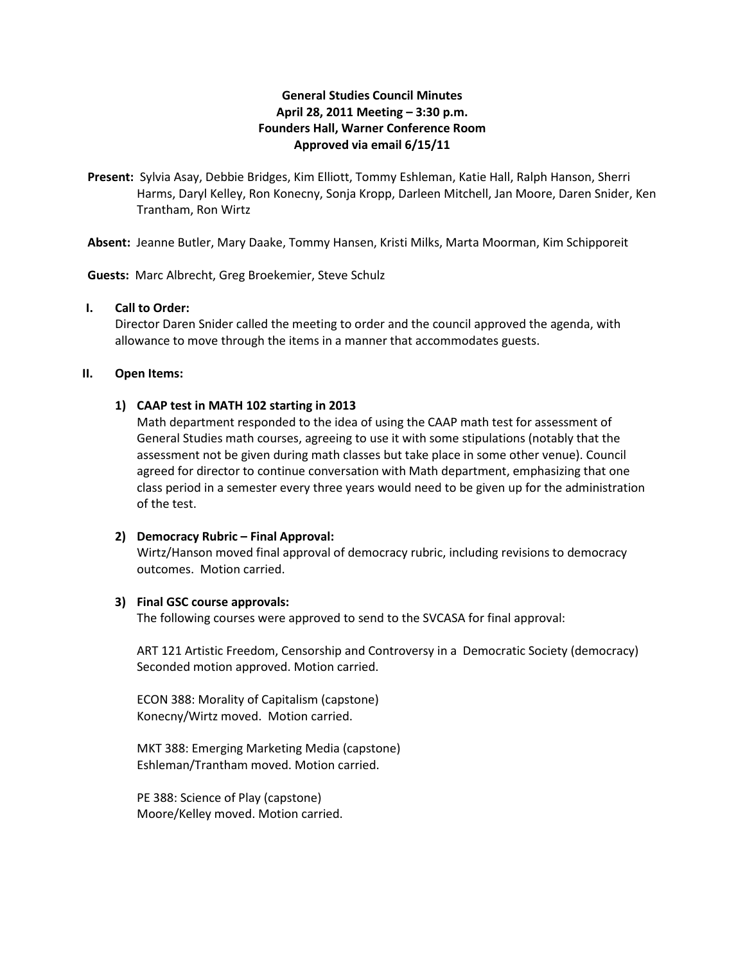# **General Studies Council Minutes April 28, 2011 Meeting – 3:30 p.m. Founders Hall, Warner Conference Room Approved via email 6/15/11**

**Present:** Sylvia Asay, Debbie Bridges, Kim Elliott, Tommy Eshleman, Katie Hall, Ralph Hanson, Sherri Harms, Daryl Kelley, Ron Konecny, Sonja Kropp, Darleen Mitchell, Jan Moore, Daren Snider, Ken Trantham, Ron Wirtz

**Absent:** Jeanne Butler, Mary Daake, Tommy Hansen, Kristi Milks, Marta Moorman, Kim Schipporeit

**Guests:** Marc Albrecht, Greg Broekemier, Steve Schulz

# **I. Call to Order:**

Director Daren Snider called the meeting to order and the council approved the agenda, with allowance to move through the items in a manner that accommodates guests.

#### **II. Open Items:**

#### **1) CAAP test in MATH 102 starting in 2013**

Math department responded to the idea of using the CAAP math test for assessment of General Studies math courses, agreeing to use it with some stipulations (notably that the assessment not be given during math classes but take place in some other venue). Council agreed for director to continue conversation with Math department, emphasizing that one class period in a semester every three years would need to be given up for the administration of the test.

### **2) Democracy Rubric – Final Approval:**

Wirtz/Hanson moved final approval of democracy rubric, including revisions to democracy outcomes. Motion carried.

#### **3) Final GSC course approvals:**

The following courses were approved to send to the SVCASA for final approval:

ART 121 Artistic Freedom, Censorship and Controversy in a Democratic Society (democracy) Seconded motion approved. Motion carried.

ECON 388: Morality of Capitalism (capstone) Konecny/Wirtz moved. Motion carried.

MKT 388: Emerging Marketing Media (capstone) Eshleman/Trantham moved. Motion carried.

PE 388: Science of Play (capstone) Moore/Kelley moved. Motion carried.